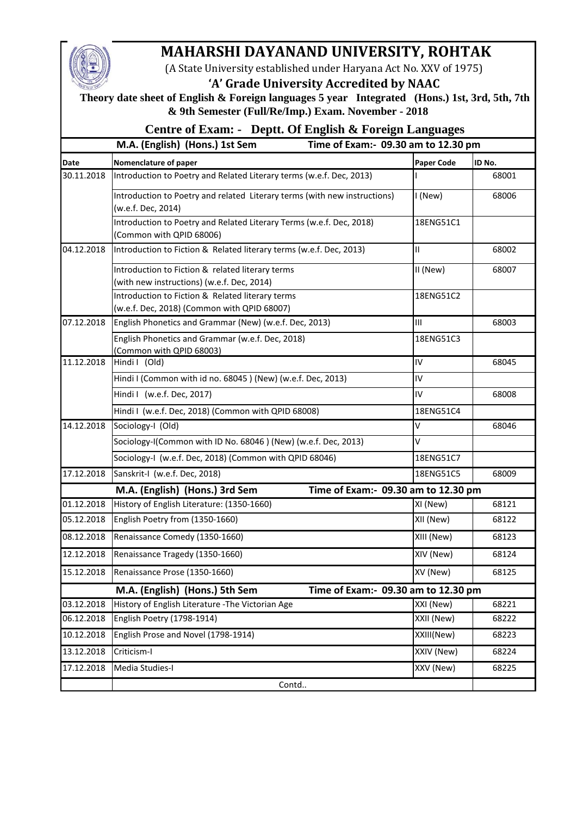

## **MAHARSHI DAYANAND UNIVERSITY, ROHTAK**

(A State University established under Haryana Act No. XXV of 1975)

## **'A' Grade University Accredited by NAAC**

 **Theory date sheet of English & Foreign languages 5 year Integrated (Hons.) 1st, 3rd, 5th, 7th & 9th Semester (Full/Re/Imp.) Exam. November - 2018**

## **Centre of Exam: - Deptt. Of English & Foreign Languages**

## **M.A. (English) (Hons.) 1st Sem Time of Exam:- 09.30 am to 12.30 pm**

| <b>Date</b>                                                           | Nomenclature of paper                                                                            | <b>Paper Code</b> | ID No. |
|-----------------------------------------------------------------------|--------------------------------------------------------------------------------------------------|-------------------|--------|
| 30.11.2018                                                            | Introduction to Poetry and Related Literary terms (w.e.f. Dec, 2013)                             |                   | 68001  |
|                                                                       | Introduction to Poetry and related Literary terms (with new instructions)<br>(w.e.f. Dec, 2014)  | I (New)           | 68006  |
|                                                                       | Introduction to Poetry and Related Literary Terms (w.e.f. Dec, 2018)<br>(Common with QPID 68006) | 18ENG51C1         |        |
| 04.12.2018                                                            | Introduction to Fiction & Related literary terms (w.e.f. Dec, 2013)                              | $\mathbf{H}$      | 68002  |
|                                                                       | Introduction to Fiction & related literary terms<br>(with new instructions) (w.e.f. Dec, 2014)   | II (New)          | 68007  |
|                                                                       | Introduction to Fiction & Related literary terms<br>(w.e.f. Dec, 2018) (Common with QPID 68007)  | 18ENG51C2         |        |
| 07.12.2018                                                            | English Phonetics and Grammar (New) (w.e.f. Dec, 2013)                                           | III               | 68003  |
|                                                                       | English Phonetics and Grammar (w.e.f. Dec, 2018)<br>(Common with QPID 68003)                     | 18ENG51C3         |        |
| 11.12.2018                                                            | Hindi I (Old)                                                                                    | IV                | 68045  |
|                                                                       | Hindi I (Common with id no. 68045) (New) (w.e.f. Dec, 2013)                                      | IV                |        |
|                                                                       | Hindi I (w.e.f. Dec, 2017)                                                                       | IV                | 68008  |
|                                                                       | Hindi I (w.e.f. Dec, 2018) (Common with QPID 68008)                                              | 18ENG51C4         |        |
| 14.12.2018                                                            | Sociology-I (Old)                                                                                | v                 | 68046  |
|                                                                       | Sociology-I(Common with ID No. 68046) (New) (w.e.f. Dec, 2013)                                   | V                 |        |
|                                                                       | Sociology-I (w.e.f. Dec, 2018) (Common with QPID 68046)                                          | 18ENG51C7         |        |
| 17.12.2018                                                            | Sanskrit-I (w.e.f. Dec, 2018)                                                                    | 18ENG51C5         | 68009  |
| M.A. (English) (Hons.) 3rd Sem<br>Time of Exam:- 09.30 am to 12.30 pm |                                                                                                  |                   |        |
| 01.12.2018                                                            | History of English Literature: (1350-1660)                                                       | XI (New)          | 68121  |
| 05.12.2018                                                            | English Poetry from (1350-1660)                                                                  | XII (New)         | 68122  |
| 08.12.2018                                                            | Renaissance Comedy (1350-1660)                                                                   | XIII (New)        | 68123  |
| 12.12.2018                                                            | Renaissance Tragedy (1350-1660)                                                                  | XIV (New)         | 68124  |
| 15.12.2018                                                            | Renaissance Prose (1350-1660)                                                                    | XV (New)          | 68125  |
|                                                                       | M.A. (English) (Hons.) 5th Sem<br>Time of Exam:- 09.30 am to 12.30 pm                            |                   |        |
| 03.12.2018                                                            | History of English Literature - The Victorian Age                                                | XXI (New)         | 68221  |
| 06.12.2018                                                            | English Poetry (1798-1914)                                                                       | XXII (New)        | 68222  |
| 10.12.2018                                                            | English Prose and Novel (1798-1914)                                                              | XXIII(New)        | 68223  |
| 13.12.2018                                                            | Criticism-I                                                                                      | XXIV (New)        | 68224  |
| 17.12.2018                                                            | Media Studies-I                                                                                  | XXV (New)         | 68225  |
|                                                                       | Contd                                                                                            |                   |        |